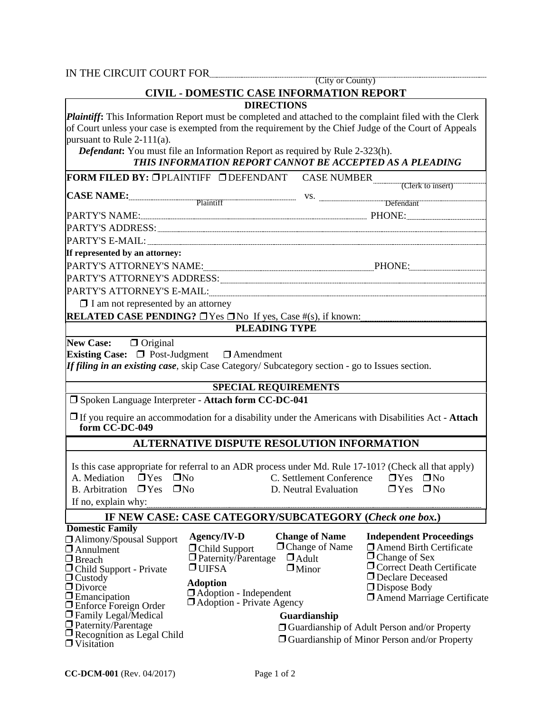| (City or County)<br><b>CIVIL - DOMESTIC CASE INFORMATION REPORT</b><br>Plaintiff: This Information Report must be completed and attached to the complaint filed with the Clerk<br>of Court unless your case is exempted from the requirement by the Chief Judge of the Court of Appeals<br><b>Defendant:</b> You must file an Information Report as required by Rule 2-323(h).<br>THIS INFORMATION REPORT CANNOT BE ACCEPTED AS A PLEADING<br><b>FORM FILED BY: OPLAINTIFF ODEFENDANT CASE NUMBER</b> (Clerk to insert)<br>PARTY'S ATTORNEY'S ADDRESS: University of the contract of the contract of the contract of the contract of the |
|------------------------------------------------------------------------------------------------------------------------------------------------------------------------------------------------------------------------------------------------------------------------------------------------------------------------------------------------------------------------------------------------------------------------------------------------------------------------------------------------------------------------------------------------------------------------------------------------------------------------------------------|
| CASE NAME: Plaintiff W.S. W. Defendant                                                                                                                                                                                                                                                                                                                                                                                                                                                                                                                                                                                                   |
|                                                                                                                                                                                                                                                                                                                                                                                                                                                                                                                                                                                                                                          |
|                                                                                                                                                                                                                                                                                                                                                                                                                                                                                                                                                                                                                                          |
|                                                                                                                                                                                                                                                                                                                                                                                                                                                                                                                                                                                                                                          |
|                                                                                                                                                                                                                                                                                                                                                                                                                                                                                                                                                                                                                                          |
|                                                                                                                                                                                                                                                                                                                                                                                                                                                                                                                                                                                                                                          |
|                                                                                                                                                                                                                                                                                                                                                                                                                                                                                                                                                                                                                                          |
|                                                                                                                                                                                                                                                                                                                                                                                                                                                                                                                                                                                                                                          |
|                                                                                                                                                                                                                                                                                                                                                                                                                                                                                                                                                                                                                                          |
|                                                                                                                                                                                                                                                                                                                                                                                                                                                                                                                                                                                                                                          |
|                                                                                                                                                                                                                                                                                                                                                                                                                                                                                                                                                                                                                                          |
|                                                                                                                                                                                                                                                                                                                                                                                                                                                                                                                                                                                                                                          |
|                                                                                                                                                                                                                                                                                                                                                                                                                                                                                                                                                                                                                                          |
| <b>RELATED CASE PENDING?</b> $\Box$ Yes $\Box$ No If yes, Case #(s), if known:                                                                                                                                                                                                                                                                                                                                                                                                                                                                                                                                                           |
|                                                                                                                                                                                                                                                                                                                                                                                                                                                                                                                                                                                                                                          |
| If filing in an existing case, skip Case Category/ Subcategory section - go to Issues section.<br><b>SPECIAL REQUIREMENTS</b>                                                                                                                                                                                                                                                                                                                                                                                                                                                                                                            |
| $\Box$ If you require an accommodation for a disability under the Americans with Disabilities Act - Attach                                                                                                                                                                                                                                                                                                                                                                                                                                                                                                                               |
| ALTERNATIVE DISPUTE RESOLUTION INFORMATION                                                                                                                                                                                                                                                                                                                                                                                                                                                                                                                                                                                               |
| Is this case appropriate for referral to an ADR process under Md. Rule 17-101? (Check all that apply)<br>$\Box$ No<br>C. Settlement Conference<br>$\Box$ Yes<br>$\Box$ Yes<br>$\Box$ No<br>D. Neutral Evaluation                                                                                                                                                                                                                                                                                                                                                                                                                         |
| IF NEW CASE: CASE CATEGORY/SUBCATEGORY (Check one box.)                                                                                                                                                                                                                                                                                                                                                                                                                                                                                                                                                                                  |
| <b>Change of Name</b><br><b>Independent Proceedings</b><br>$\Box$ Change of Name<br>$\Box$ Amend Birth Certificate<br>$\Box$ Change of Sex<br>$\Box$ Correct Death Certificate                                                                                                                                                                                                                                                                                                                                                                                                                                                           |
| $\Box$ Adult<br>$\Box$ Minor                                                                                                                                                                                                                                                                                                                                                                                                                                                                                                                                                                                                             |

Visitation